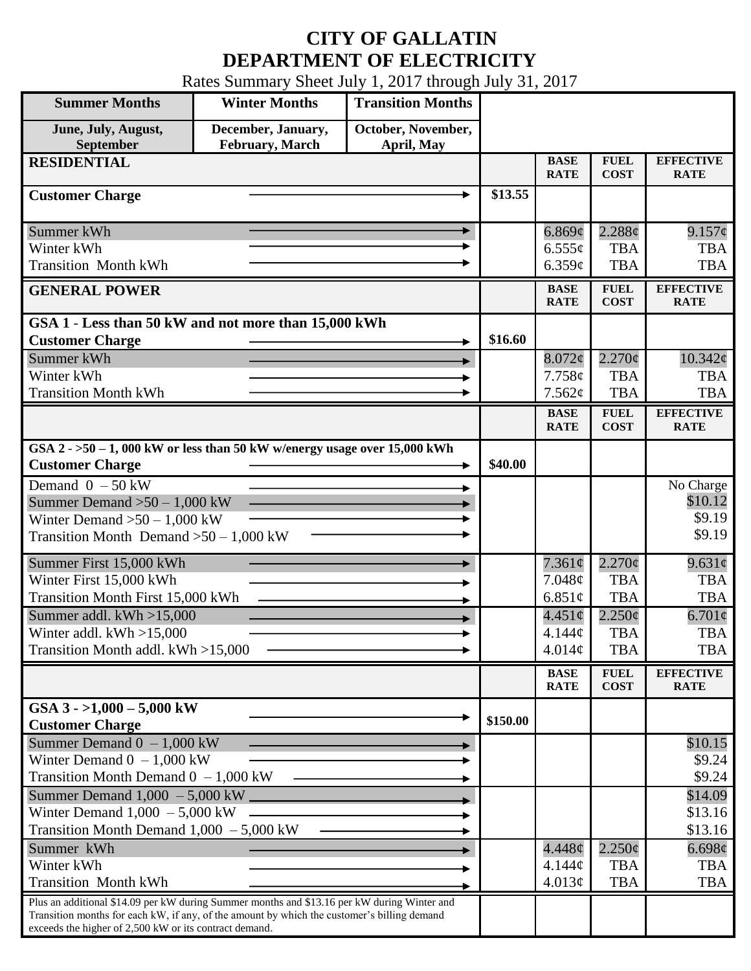## **CITY OF GALLATIN DEPARTMENT OF ELECTRICITY**

Rates Summary Sheet July 1, 2017 through July 31, 2017

| <b>Summer Months</b>                                                                                                                                                                                                                                 | <b>Winter Months</b>                  | <b>Transition Months</b>         |          |                            |                            |                                 |
|------------------------------------------------------------------------------------------------------------------------------------------------------------------------------------------------------------------------------------------------------|---------------------------------------|----------------------------------|----------|----------------------------|----------------------------|---------------------------------|
| June, July, August,<br>September                                                                                                                                                                                                                     | December, January,<br>February, March | October, November,<br>April, May |          |                            |                            |                                 |
| <b>RESIDENTIAL</b>                                                                                                                                                                                                                                   |                                       |                                  |          | <b>BASE</b><br><b>RATE</b> | <b>FUEL</b><br><b>COST</b> | <b>EFFECTIVE</b><br><b>RATE</b> |
| <b>Customer Charge</b>                                                                                                                                                                                                                               |                                       |                                  | \$13.55  |                            |                            |                                 |
| Summer kWh                                                                                                                                                                                                                                           |                                       |                                  |          | 6.869¢                     | 2.288¢                     | $9.157\phi$                     |
| Winter kWh                                                                                                                                                                                                                                           |                                       |                                  |          | $6.555\ell$                | <b>TBA</b>                 | <b>TBA</b>                      |
| <b>Transition Month kWh</b>                                                                                                                                                                                                                          |                                       |                                  |          | 6.359c                     | <b>TBA</b>                 | <b>TBA</b>                      |
| <b>GENERAL POWER</b>                                                                                                                                                                                                                                 |                                       |                                  |          | <b>BASE</b><br><b>RATE</b> | <b>FUEL</b><br><b>COST</b> | <b>EFFECTIVE</b><br><b>RATE</b> |
| GSA 1 - Less than 50 kW and not more than 15,000 kWh                                                                                                                                                                                                 |                                       |                                  |          |                            |                            |                                 |
| <b>Customer Charge</b>                                                                                                                                                                                                                               |                                       |                                  | \$16.60  |                            |                            |                                 |
| Summer kWh                                                                                                                                                                                                                                           |                                       |                                  |          | $8.072\phi$                | $2.270\phi$                | $10.342\varphi$                 |
| Winter kWh<br><b>Transition Month kWh</b>                                                                                                                                                                                                            |                                       |                                  |          | 7.758c<br>7.562¢           | <b>TBA</b><br><b>TBA</b>   | <b>TBA</b><br><b>TBA</b>        |
|                                                                                                                                                                                                                                                      |                                       |                                  |          | <b>BASE</b>                | <b>FUEL</b>                | <b>EFFECTIVE</b>                |
|                                                                                                                                                                                                                                                      |                                       |                                  |          | <b>RATE</b>                | <b>COST</b>                | <b>RATE</b>                     |
| GSA $2 - 50 - 1$ , 000 kW or less than 50 kW w/energy usage over 15,000 kWh<br><b>Customer Charge</b>                                                                                                                                                |                                       |                                  | \$40.00  |                            |                            |                                 |
| Demand $0 - 50$ kW                                                                                                                                                                                                                                   |                                       |                                  |          |                            |                            | No Charge                       |
| Summer Demand $>50-1,000$ kW                                                                                                                                                                                                                         |                                       |                                  |          |                            |                            | \$10.12                         |
| Winter Demand $>50 - 1,000$ kW                                                                                                                                                                                                                       |                                       |                                  |          |                            |                            | \$9.19                          |
| Transition Month Demand $>50-1,000$ kW                                                                                                                                                                                                               |                                       |                                  |          |                            |                            | \$9.19                          |
| Summer First 15,000 kWh                                                                                                                                                                                                                              |                                       |                                  |          | $7.361\phi$                | $2.270\phi$                | $9.631\phi$                     |
| Winter First 15,000 kWh                                                                                                                                                                                                                              |                                       |                                  | 7.048¢   | <b>TBA</b>                 | <b>TBA</b>                 |                                 |
| Transition Month First 15,000 kWh                                                                                                                                                                                                                    |                                       |                                  |          | 6.851 $\phi$               | <b>TBA</b>                 | <b>TBA</b>                      |
| Summer addl. kWh >15,000                                                                                                                                                                                                                             |                                       |                                  |          | $4.451\circ$               | $2.250\phi$                | $6.701\phi$                     |
| Winter addl. $kWh > 15,000$<br>Transition Month addl. kWh >15,000                                                                                                                                                                                    |                                       |                                  |          | 4.144¢<br>4.014¢           | <b>TBA</b><br><b>TBA</b>   | <b>TBA</b><br><b>TBA</b>        |
|                                                                                                                                                                                                                                                      |                                       |                                  |          |                            |                            |                                 |
|                                                                                                                                                                                                                                                      |                                       |                                  |          | <b>BASE</b><br><b>RATE</b> | <b>FUEL</b><br><b>COST</b> | <b>EFFECTIVE</b><br><b>RATE</b> |
| GSA $3 - 1,000 - 5,000$ kW<br><b>Customer Charge</b>                                                                                                                                                                                                 |                                       |                                  | \$150.00 |                            |                            |                                 |
| Summer Demand $0 - 1,000$ kW                                                                                                                                                                                                                         |                                       |                                  |          |                            |                            | \$10.15                         |
| Winter Demand $0 - 1,000$ kW                                                                                                                                                                                                                         |                                       |                                  |          |                            |                            | \$9.24                          |
| Transition Month Demand $0 - 1,000$ kW                                                                                                                                                                                                               |                                       |                                  |          |                            |                            | \$9.24                          |
| Summer Demand $1,000 - 5,000$ kW $\_\_$                                                                                                                                                                                                              |                                       |                                  |          |                            |                            | \$14.09                         |
| Winter Demand $1,000 - 5,000$ kW<br>Transition Month Demand $1,000 - 5,000$ kW                                                                                                                                                                       |                                       |                                  |          |                            |                            | \$13.16<br>\$13.16              |
| Summer kWh                                                                                                                                                                                                                                           |                                       |                                  |          | 4.448¢                     | $2.250\phi$                | 6.698¢                          |
| Winter kWh                                                                                                                                                                                                                                           |                                       |                                  |          | $4.144\mathcal{C}$         | <b>TBA</b>                 | <b>TBA</b>                      |
| <b>Transition Month kWh</b>                                                                                                                                                                                                                          |                                       |                                  |          | 4.013¢                     | <b>TBA</b>                 | <b>TBA</b>                      |
| Plus an additional \$14.09 per kW during Summer months and \$13.16 per kW during Winter and<br>Transition months for each kW, if any, of the amount by which the customer's billing demand<br>exceeds the higher of 2,500 kW or its contract demand. |                                       |                                  |          |                            |                            |                                 |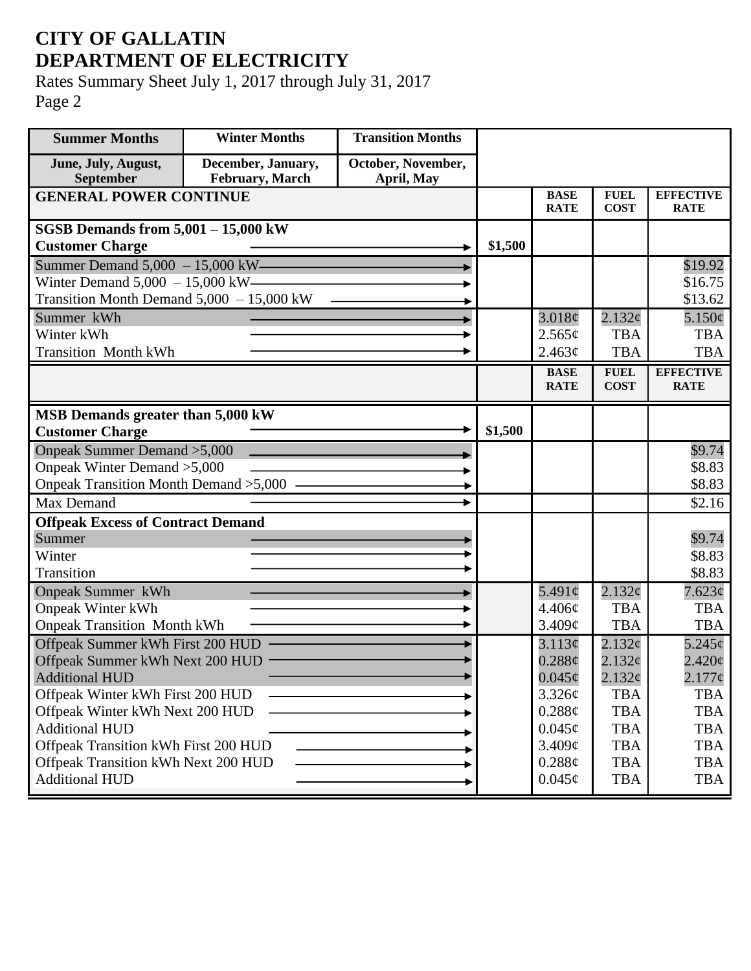## **CITY OF GALLATIN DEPARTMENT OF ELECTRICITY**

Rates Summary Sheet July 1, 2017 through July 31, 2017 Page 2

| <b>Summer Months</b>                       | <b>Winter Months</b>                  | <b>Transition Months</b>         |         |                            |                            |                                 |
|--------------------------------------------|---------------------------------------|----------------------------------|---------|----------------------------|----------------------------|---------------------------------|
| June, July, August,<br>September           | December, January,<br>February, March | October, November,<br>April, May |         |                            |                            |                                 |
| <b>GENERAL POWER CONTINUE</b>              |                                       |                                  |         | <b>BASE</b><br><b>RATE</b> | <b>FUEL</b><br><b>COST</b> | <b>EFFECTIVE</b><br><b>RATE</b> |
| <b>SGSB Demands from 5,001 - 15,000 kW</b> |                                       |                                  |         |                            |                            |                                 |
| <b>Customer Charge</b>                     |                                       |                                  | \$1,500 |                            |                            |                                 |
| Summer Demand $5,000 - 15,000$ kW-         |                                       |                                  |         |                            |                            | \$19.92                         |
| Winter Demand $5,000 - 15,000$ kW-         |                                       |                                  |         |                            |                            | \$16.75                         |
| Transition Month Demand 5,000 - 15,000 kW  |                                       |                                  |         |                            |                            | \$13.62                         |
| Summer kWh                                 |                                       |                                  |         | 3.018¢                     | 2.132¢                     | $5.150\phi$                     |
| Winter kWh                                 |                                       |                                  |         | 2.565¢                     | <b>TBA</b>                 | <b>TBA</b>                      |
| <b>Transition Month kWh</b>                |                                       |                                  |         | 2.463¢                     | <b>TBA</b>                 | <b>TBA</b>                      |
|                                            |                                       |                                  |         | <b>BASE</b>                | <b>FUEL</b>                | <b>EFFECTIVE</b>                |
|                                            |                                       |                                  |         | <b>RATE</b>                | <b>COST</b>                | <b>RATE</b>                     |
| MSB Demands greater than 5,000 kW          |                                       |                                  |         |                            |                            |                                 |
| <b>Customer Charge</b>                     |                                       |                                  | \$1,500 |                            |                            |                                 |
| Onpeak Summer Demand > 5,000               |                                       |                                  |         |                            |                            | \$9.74                          |
| Onpeak Winter Demand > 5,000               |                                       |                                  |         |                            |                            | \$8.83                          |
| Onpeak Transition Month Demand > 5,000 —   |                                       |                                  |         |                            |                            | \$8.83                          |
| Max Demand                                 |                                       |                                  |         |                            |                            | \$2.16                          |
| <b>Offpeak Excess of Contract Demand</b>   |                                       |                                  |         |                            |                            |                                 |
| Summer                                     |                                       |                                  |         |                            |                            | \$9.74                          |
| Winter                                     |                                       |                                  |         |                            |                            | \$8.83                          |
| Transition                                 |                                       |                                  |         |                            |                            | \$8.83                          |
| <b>Onpeak Summer kWh</b>                   |                                       |                                  |         | $5.491\circ$               | 2.132¢                     | $7.623\phi$                     |
| <b>Onpeak Winter kWh</b>                   |                                       |                                  |         | 4.406¢                     | <b>TBA</b>                 | <b>TBA</b>                      |
| <b>Onpeak Transition Month kWh</b>         |                                       |                                  |         | 3.409¢                     | <b>TBA</b>                 | <b>TBA</b>                      |
| Offpeak Summer kWh First 200 HUD           |                                       |                                  |         | 3.113¢                     | 2.132c                     | $5.245\ell$                     |
| Offpeak Summer kWh Next 200 HUD            |                                       |                                  |         | 0.288c                     | 2.132¢                     | $2.420\phi$                     |
| <b>Additional HUD</b>                      |                                       |                                  |         | $0.045\phi$                | 2.132¢                     | $2.177$ ¢                       |
| Offpeak Winter kWh First 200 HUD           |                                       |                                  |         | 3.326¢                     | <b>TBA</b>                 | <b>TBA</b>                      |
| Offpeak Winter kWh Next 200 HUD            |                                       |                                  |         | 0.288¢                     | <b>TBA</b>                 | <b>TBA</b>                      |
| <b>Additional HUD</b>                      |                                       |                                  |         | $0.045\phi$                | <b>TBA</b>                 | <b>TBA</b>                      |
| Offpeak Transition kWh First 200 HUD       |                                       |                                  |         | 3.409¢                     | <b>TBA</b>                 | <b>TBA</b>                      |
| Offpeak Transition kWh Next 200 HUD        |                                       |                                  |         | 0.288¢                     | <b>TBA</b>                 | <b>TBA</b>                      |
| <b>Additional HUD</b>                      |                                       |                                  |         | $0.045\phi$                | <b>TBA</b>                 | <b>TBA</b>                      |